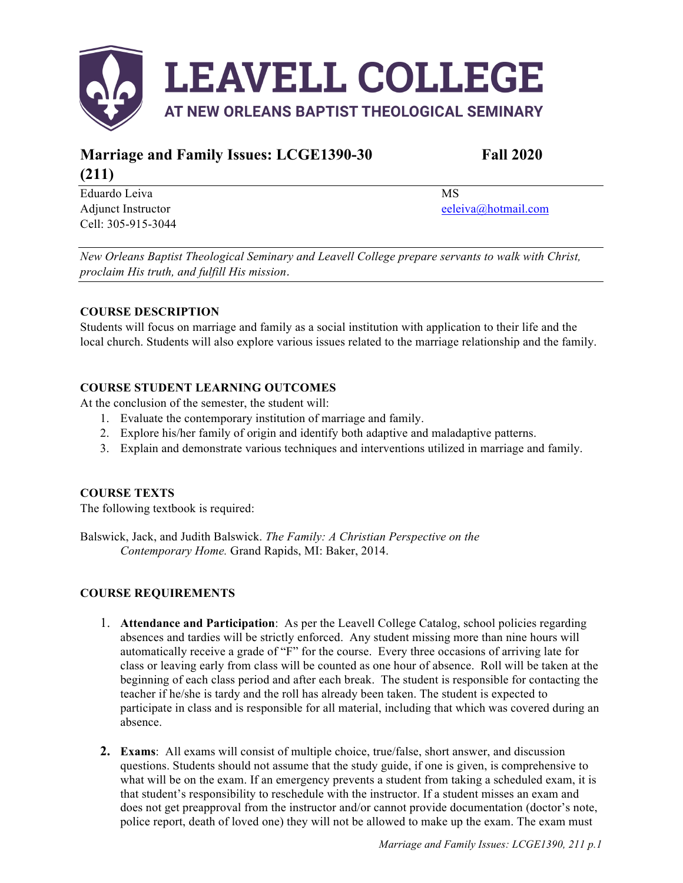

# **Marriage and Family Issues: LCGE1390-30 Fall 2020 (211)**

Eduardo Leiva MS Adjunct Instructor eeleiva@hotmail.com Cell: 305-915-3044

*New Orleans Baptist Theological Seminary and Leavell College prepare servants to walk with Christ, proclaim His truth, and fulfill His mission*.

## **COURSE DESCRIPTION**

Students will focus on marriage and family as a social institution with application to their life and the local church. Students will also explore various issues related to the marriage relationship and the family.

## **COURSE STUDENT LEARNING OUTCOMES**

At the conclusion of the semester, the student will:

- 1. Evaluate the contemporary institution of marriage and family.
- 2. Explore his/her family of origin and identify both adaptive and maladaptive patterns.
- 3. Explain and demonstrate various techniques and interventions utilized in marriage and family.

## **COURSE TEXTS**

The following textbook is required:

Balswick, Jack, and Judith Balswick. *The Family: A Christian Perspective on the Contemporary Home.* Grand Rapids, MI: Baker, 2014.

## **COURSE REQUIREMENTS**

- 1. **Attendance and Participation**:As per the Leavell College Catalog, school policies regarding absences and tardies will be strictly enforced. Any student missing more than nine hours will automatically receive a grade of "F" for the course. Every three occasions of arriving late for class or leaving early from class will be counted as one hour of absence. Roll will be taken at the beginning of each class period and after each break. The student is responsible for contacting the teacher if he/she is tardy and the roll has already been taken. The student is expected to participate in class and is responsible for all material, including that which was covered during an absence.
- **2. Exams**: All exams will consist of multiple choice, true/false, short answer, and discussion questions. Students should not assume that the study guide, if one is given, is comprehensive to what will be on the exam. If an emergency prevents a student from taking a scheduled exam, it is that student's responsibility to reschedule with the instructor. If a student misses an exam and does not get preapproval from the instructor and/or cannot provide documentation (doctor's note, police report, death of loved one) they will not be allowed to make up the exam. The exam must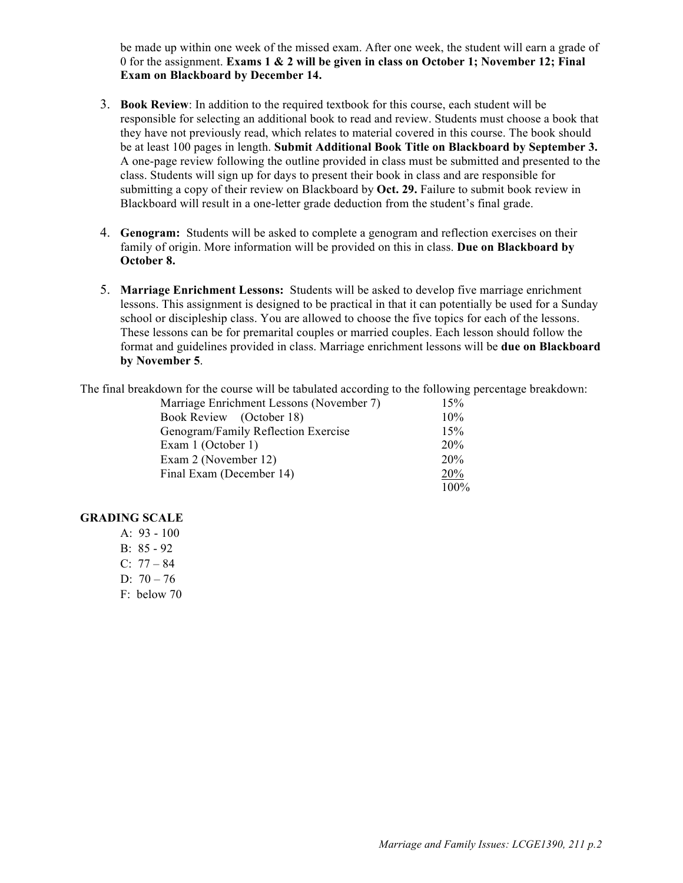be made up within one week of the missed exam. After one week, the student will earn a grade of 0 for the assignment. **Exams 1 & 2 will be given in class on October 1; November 12; Final Exam on Blackboard by December 14.**

- 3. **Book Review**: In addition to the required textbook for this course, each student will be responsible for selecting an additional book to read and review. Students must choose a book that they have not previously read, which relates to material covered in this course. The book should be at least 100 pages in length. **Submit Additional Book Title on Blackboard by September 3.**  A one-page review following the outline provided in class must be submitted and presented to the class. Students will sign up for days to present their book in class and are responsible for submitting a copy of their review on Blackboard by **Oct. 29.** Failure to submit book review in Blackboard will result in a one-letter grade deduction from the student's final grade.
- 4. **Genogram:** Students will be asked to complete a genogram and reflection exercises on their family of origin. More information will be provided on this in class. **Due on Blackboard by October 8.**
- 5. **Marriage Enrichment Lessons:** Students will be asked to develop five marriage enrichment lessons. This assignment is designed to be practical in that it can potentially be used for a Sunday school or discipleship class. You are allowed to choose the five topics for each of the lessons. These lessons can be for premarital couples or married couples. Each lesson should follow the format and guidelines provided in class. Marriage enrichment lessons will be **due on Blackboard by November 5**.

The final breakdown for the course will be tabulated according to the following percentage breakdown:

| Marriage Enrichment Lessons (November 7) | 15%  |
|------------------------------------------|------|
| Book Review (October 18)                 | 10%  |
| Genogram/Family Reflection Exercise      | 15%  |
| Exam 1 (October 1)                       | 20%  |
| Exam 2 (November 12)                     | 20%  |
| Final Exam (December 14)                 | 20%  |
|                                          | 100% |

#### **GRADING SCALE**

A:  $93 - 100$ B: 85 - 92 C:  $77 - 84$ D:  $70 - 76$ F: below 70

*Marriage and Family Issues: LCGE1390, 211 p.2*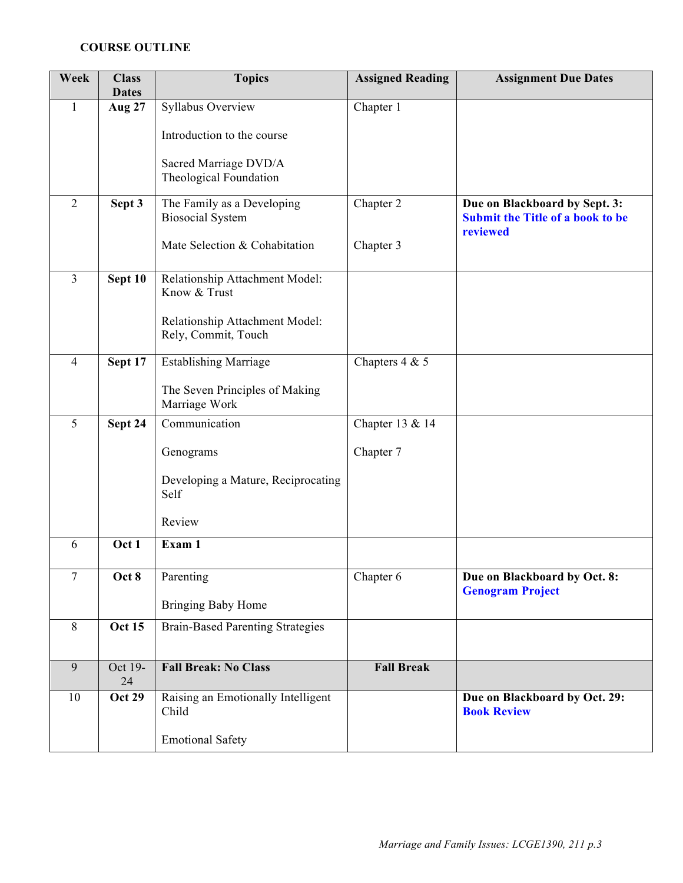#### **COURSE OUTLINE**

| Week           | <b>Class</b><br><b>Dates</b> | <b>Topics</b>                                         | <b>Assigned Reading</b> | <b>Assignment Due Dates</b>                                                          |
|----------------|------------------------------|-------------------------------------------------------|-------------------------|--------------------------------------------------------------------------------------|
| $\mathbf{1}$   | <b>Aug 27</b>                | Syllabus Overview                                     | Chapter 1               |                                                                                      |
|                |                              | Introduction to the course                            |                         |                                                                                      |
|                |                              | Sacred Marriage DVD/A<br>Theological Foundation       |                         |                                                                                      |
|                |                              |                                                       |                         |                                                                                      |
| $\overline{2}$ | Sept 3                       | The Family as a Developing<br><b>Biosocial System</b> | Chapter 2               | Due on Blackboard by Sept. 3:<br><b>Submit the Title of a book to be</b><br>reviewed |
|                |                              | Mate Selection & Cohabitation                         | Chapter 3               |                                                                                      |
| $\overline{3}$ | Sept 10                      | Relationship Attachment Model:<br>Know & Trust        |                         |                                                                                      |
|                |                              | Relationship Attachment Model:<br>Rely, Commit, Touch |                         |                                                                                      |
| 4              | Sept 17                      | <b>Establishing Marriage</b>                          | Chapters $4 & 5$        |                                                                                      |
|                |                              | The Seven Principles of Making<br>Marriage Work       |                         |                                                                                      |
| 5              | Sept 24                      | Communication                                         | Chapter 13 & 14         |                                                                                      |
|                |                              | Genograms                                             | Chapter 7               |                                                                                      |
|                |                              | Developing a Mature, Reciprocating<br>Self            |                         |                                                                                      |
|                |                              | Review                                                |                         |                                                                                      |
| 6              | Oct 1                        | Exam 1                                                |                         |                                                                                      |
| $\tau$         | Oct 8                        | Parenting                                             | Chapter 6               | Due on Blackboard by Oct. 8:<br><b>Genogram Project</b>                              |
|                |                              | <b>Bringing Baby Home</b>                             |                         |                                                                                      |
| $8\,$          | <b>Oct 15</b>                | <b>Brain-Based Parenting Strategies</b>               |                         |                                                                                      |
|                |                              |                                                       |                         |                                                                                      |
| 9              | Oct 19-<br>24                | <b>Fall Break: No Class</b>                           | <b>Fall Break</b>       |                                                                                      |
| 10             | <b>Oct 29</b>                | Raising an Emotionally Intelligent<br>Child           |                         | Due on Blackboard by Oct. 29:<br><b>Book Review</b>                                  |
|                |                              | <b>Emotional Safety</b>                               |                         |                                                                                      |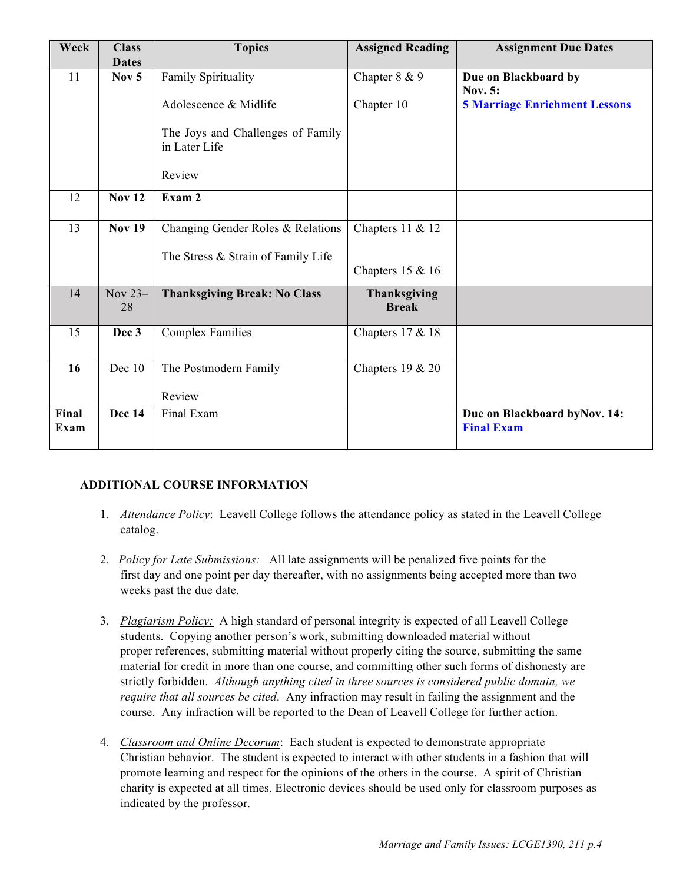| Week          | <b>Class</b><br><b>Dates</b> | <b>Topics</b>                                      | <b>Assigned Reading</b>             | <b>Assignment Due Dates</b>                        |
|---------------|------------------------------|----------------------------------------------------|-------------------------------------|----------------------------------------------------|
| 11            | Nov $5$                      | Family Spirituality                                | Chapter 8 & 9                       | Due on Blackboard by<br>Nov. 5:                    |
|               |                              | Adolescence & Midlife                              | Chapter 10                          | <b>5 Marriage Enrichment Lessons</b>               |
|               |                              | The Joys and Challenges of Family<br>in Later Life |                                     |                                                    |
|               |                              | Review                                             |                                     |                                                    |
| 12            | <b>Nov 12</b>                | Exam 2                                             |                                     |                                                    |
| 13            | <b>Nov 19</b>                | Changing Gender Roles & Relations                  | Chapters $11 & 12$                  |                                                    |
|               |                              | The Stress & Strain of Family Life                 | Chapters $15 & 16$                  |                                                    |
| 14            | Nov $23-$<br>28              | <b>Thanksgiving Break: No Class</b>                | <b>Thanksgiving</b><br><b>Break</b> |                                                    |
| 15            | Dec 3                        | <b>Complex Families</b>                            | Chapters $17 & 18$                  |                                                    |
| 16            | Dec 10                       | The Postmodern Family                              | Chapters $19 & 20$                  |                                                    |
|               |                              | Review                                             |                                     |                                                    |
| Final<br>Exam | Dec 14                       | Final Exam                                         |                                     | Due on Blackboard by Nov. 14:<br><b>Final Exam</b> |

# **ADDITIONAL COURSE INFORMATION**

- 1. *Attendance Policy*: Leavell College follows the attendance policy as stated in the Leavell College catalog.
- 2. *Policy for Late Submissions:* All late assignments will be penalized five points for the first day and one point per day thereafter, with no assignments being accepted more than two weeks past the due date.
- 3. *Plagiarism Policy:* A high standard of personal integrity is expected of all Leavell College students. Copying another person's work, submitting downloaded material without proper references, submitting material without properly citing the source, submitting the same material for credit in more than one course, and committing other such forms of dishonesty are strictly forbidden. *Although anything cited in three sources is considered public domain, we require that all sources be cited*. Any infraction may result in failing the assignment and the course. Any infraction will be reported to the Dean of Leavell College for further action.
- 4. *Classroom and Online Decorum*: Each student is expected to demonstrate appropriate Christian behavior. The student is expected to interact with other students in a fashion that will promote learning and respect for the opinions of the others in the course. A spirit of Christian charity is expected at all times. Electronic devices should be used only for classroom purposes as indicated by the professor.